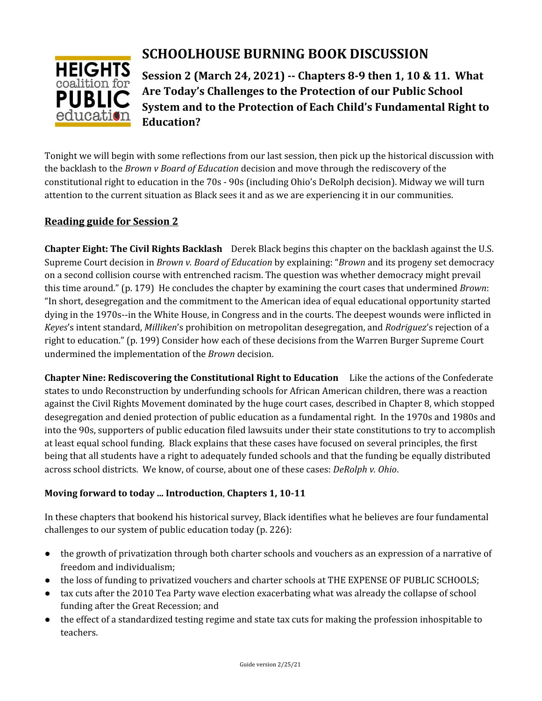

# **SCHOOLHOUSE BURNING BOOK DISCUSSION**

**Session 2 (March 24, 2021) -- Chapters 8-9 then 1, 10 & 11. What Are Today's Challenges to the Protection of our Public School System and to the Protection of Each Child's Fundamental Right to Education?**

Tonight we will begin with some reflections from our last session, then pick up the historical discussion with the backlash to the *Brown v Board of Education* decision and move through the rediscovery of the constitutional right to education in the 70s - 90s (including Ohio's DeRolph decision). Midway we will turn attention to the current situation as Black sees it and as we are experiencing it in our communities.

## **Reading guide for Session 2**

**Chapter Eight: The Civil Rights Backlash** Derek Black begins this chapter on the backlash against the U.S. Supreme Court decision in *Brown v. Board of Education* by explaining: "*Brown* and its progeny set democracy on a second collision course with entrenched racism. The question was whether democracy might prevail this time around." (p. 179) He concludes the chapter by examining the court cases that undermined *Brown*: "In short, desegregation and the commitment to the American idea of equal educational opportunity started dying in the 1970s--in the White House, in Congress and in the courts. The deepest wounds were inflicted in *Keyes*'s intent standard, *Milliken*'s prohibition on metropolitan desegregation, and *Rodriguez*'s rejection of a right to education." (p. 199) Consider how each of these decisions from the Warren Burger Supreme Court undermined the implementation of the *Brown* decision.

**Chapter Nine: Rediscovering the Constitutional Right to Education** Like the actions of the Confederate states to undo Reconstruction by underfunding schools for African American children, there was a reaction against the Civil Rights Movement dominated by the huge court cases, described in Chapter 8, which stopped desegregation and denied protection of public education as a fundamental right. In the 1970s and 1980s and into the 90s, supporters of public education filed lawsuits under their state constitutions to try to accomplish at least equal school funding. Black explains that these cases have focused on several principles, the first being that all students have a right to adequately funded schools and that the funding be equally distributed across school districts. We know, of course, about one of these cases: *DeRolph v. Ohio*.

### **Moving forward to today ... Introduction**, **Chapters 1, 10-11**

In these chapters that bookend his historical survey, Black identifies what he believes are four fundamental challenges to our system of public education today (p. 226):

- the growth of privatization through both charter schools and vouchers as an expression of a narrative of freedom and individualism;
- the loss of funding to privatized vouchers and charter schools at THE EXPENSE OF PUBLIC SCHOOLS;
- tax cuts after the 2010 Tea Party wave election exacerbating what was already the collapse of school funding after the Great Recession; and
- the effect of a standardized testing regime and state tax cuts for making the profession inhospitable to teachers.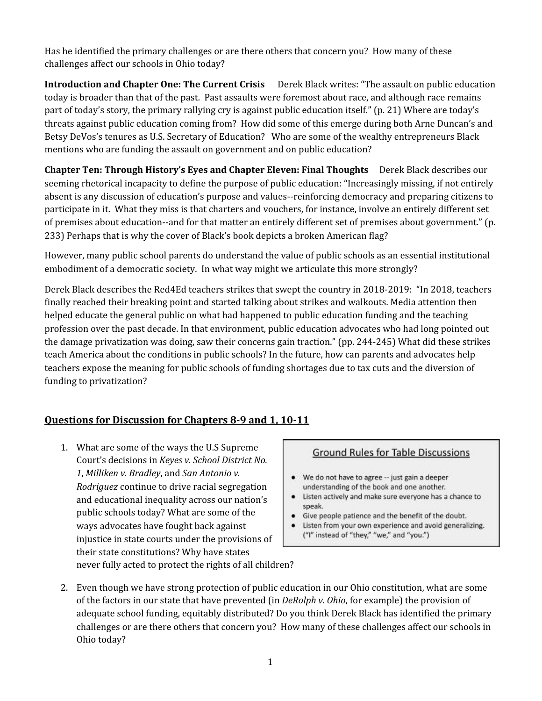Has he identified the primary challenges or are there others that concern you? How many of these challenges affect our schools in Ohio today?

**Introduction and Chapter One: The Current Crisis** Derek Black writes: "The assault on public education today is broader than that of the past. Past assaults were foremost about race, and although race remains part of today's story, the primary rallying cry is against public education itself." (p. 21) Where are today's threats against public education coming from? How did some of this emerge during both Arne Duncan's and Betsy DeVos's tenures as U.S. Secretary of Education? Who are some of the wealthy entrepreneurs Black mentions who are funding the assault on government and on public education?

**Chapter Ten: Through History's Eyes and Chapter Eleven: Final Thoughts** Derek Black describes our seeming rhetorical incapacity to define the purpose of public education: "Increasingly missing, if not entirely absent is any discussion of education's purpose and values--reinforcing democracy and preparing citizens to participate in it. What they miss is that charters and vouchers, for instance, involve an entirely different set of premises about education--and for that matter an entirely different set of premises about government." (p. 233) Perhaps that is why the cover of Black's book depicts a broken American flag?

However, many public school parents do understand the value of public schools as an essential institutional embodiment of a democratic society. In what way might we articulate this more strongly?

Derek Black describes the Red4Ed teachers strikes that swept the country in 2018-2019: "In 2018, teachers finally reached their breaking point and started talking about strikes and walkouts. Media attention then helped educate the general public on what had happened to public education funding and the teaching profession over the past decade. In that environment, public education advocates who had long pointed out the damage privatization was doing, saw their concerns gain traction." (pp. 244-245) What did these strikes teach America about the conditions in public schools? In the future, how can parents and advocates help teachers expose the meaning for public schools of funding shortages due to tax cuts and the diversion of funding to privatization?

### **Questions for Discussion for Chapters 8-9 and 1, 10-11**

1. What are some of the ways the U.S Supreme Court's decisions in *Keyes v. School District No. 1*, *Milliken v. Bradley*, and *San Antonio v. Rodriguez* continue to drive racial segregation and educational inequality across our nation's public schools today? What are some of the ways advocates have fought back against injustice in state courts under the provisions of their state constitutions? Why have states never fully acted to protect the rights of all children?

#### **Ground Rules for Table Discussions**

- We do not have to agree -- just gain a deeper understanding of the book and one another.
- Listen actively and make sure everyone has a chance to speak.
- ٠ Give people patience and the benefit of the doubt.
- Listen from your own experience and avoid generalizing. ("I" instead of "they," "we," and "you.")
- 2. Even though we have strong protection of public education in our Ohio constitution, what are some of the factors in our state that have prevented (in *DeRolph v. Ohio*, for example) the provision of adequate school funding, equitably distributed? Do you think Derek Black has identified the primary challenges or are there others that concern you? How many of these challenges affect our schools in Ohio today?